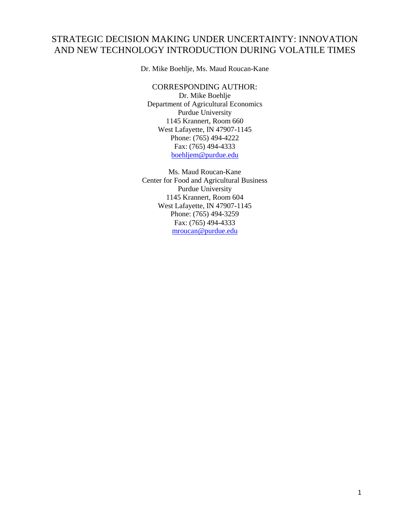# STRATEGIC DECISION MAKING UNDER UNCERTAINTY: INNOVATION AND NEW TECHNOLOGY INTRODUCTION DURING VOLATILE TIMES

Dr. Mike Boehlje, Ms. Maud Roucan-Kane

CORRESPONDING AUTHOR:

Dr. Mike Boehlje Department of Agricultural Economics Purdue University 1145 Krannert, Room 660 West Lafayette, IN 47907-1145 Phone: (765) 494-4222 Fax: (765) 494-4333 boehljem@purdue.edu

Ms. Maud Roucan-Kane Center for Food and Agricultural Business Purdue University 1145 Krannert, Room 604 West Lafayette, IN 47907-1145 Phone: (765) 494-3259 Fax: (765) 494-4333 mroucan@purdue.edu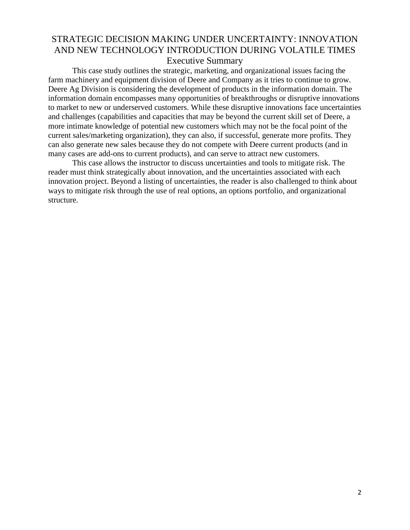# STRATEGIC DECISION MAKING UNDER UNCERTAINTY: INNOVATION AND NEW TECHNOLOGY INTRODUCTION DURING VOLATILE TIMES Executive Summary

This case study outlines the strategic, marketing, and organizational issues facing the farm machinery and equipment division of Deere and Company as it tries to continue to grow. Deere Ag Division is considering the development of products in the information domain. The information domain encompasses many opportunities of breakthroughs or disruptive innovations to market to new or underserved customers. While these disruptive innovations face uncertainties and challenges (capabilities and capacities that may be beyond the current skill set of Deere, a more intimate knowledge of potential new customers which may not be the focal point of the current sales/marketing organization), they can also, if successful, generate more profits. They can also generate new sales because they do not compete with Deere current products (and in many cases are add-ons to current products), and can serve to attract new customers.

This case allows the instructor to discuss uncertainties and tools to mitigate risk. The reader must think strategically about innovation, and the uncertainties associated with each innovation project. Beyond a listing of uncertainties, the reader is also challenged to think about ways to mitigate risk through the use of real options, an options portfolio, and organizational structure.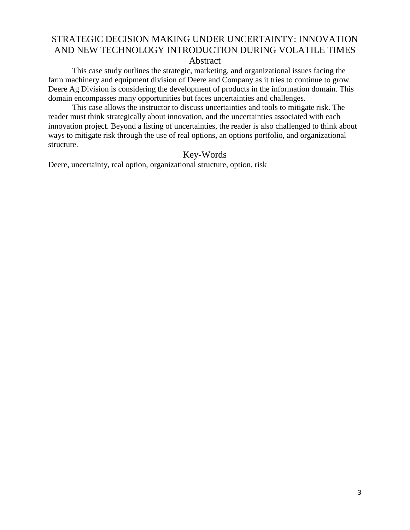# STRATEGIC DECISION MAKING UNDER UNCERTAINTY: INNOVATION AND NEW TECHNOLOGY INTRODUCTION DURING VOLATILE TIMES Abstract

This case study outlines the strategic, marketing, and organizational issues facing the farm machinery and equipment division of Deere and Company as it tries to continue to grow. Deere Ag Division is considering the development of products in the information domain. This domain encompasses many opportunities but faces uncertainties and challenges.

This case allows the instructor to discuss uncertainties and tools to mitigate risk. The reader must think strategically about innovation, and the uncertainties associated with each innovation project. Beyond a listing of uncertainties, the reader is also challenged to think about ways to mitigate risk through the use of real options, an options portfolio, and organizational structure.

## Key-Words

Deere, uncertainty, real option, organizational structure, option, risk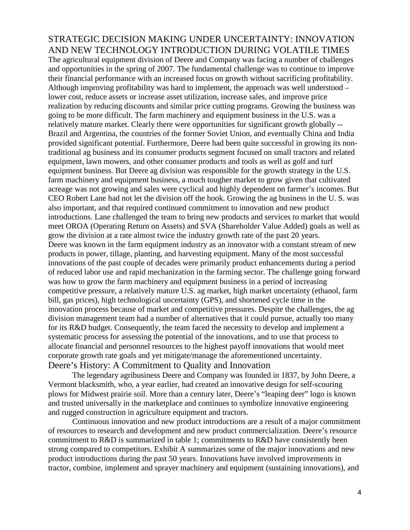# STRATEGIC DECISION MAKING UNDER UNCERTAINTY: INNOVATION AND NEW TECHNOLOGY INTRODUCTION DURING VOLATILE TIMES

The agricultural equipment division of Deere and Company was facing a number of challenges and opportunities in the spring of 2007. The fundamental challenge was to continue to improve their financial performance with an increased focus on growth without sacrificing profitability. Although improving profitability was hard to implement, the approach was well understood – lower cost, reduce assets or increase asset utilization, increase sales, and improve price realization by reducing discounts and similar price cutting programs. Growing the business was going to be more difficult. The farm machinery and equipment business in the U.S. was a relatively mature market. Clearly there were opportunities for significant growth globally -- Brazil and Argentina, the countries of the former Soviet Union, and eventually China and India provided significant potential. Furthermore, Deere had been quite successful in growing its nontraditional ag business and its consumer products segment focused on small tractors and related equipment, lawn mowers, and other consumer products and tools as well as golf and turf equipment business. But Deere ag division was responsible for the growth strategy in the U.S. farm machinery and equipment business, a much tougher market to grow given that cultivated acreage was not growing and sales were cyclical and highly dependent on farmer's incomes. But CEO Robert Lane had not let the division off the hook. Growing the ag business in the U. S. was also important, and that required continued commitment to innovation and new product introductions. Lane challenged the team to bring new products and services to market that would meet OROA (Operating Return on Assets) and SVA (Shareholder Value Added) goals as well as grow the division at a rate almost twice the industry growth rate of the past 20 years. Deere was known in the farm equipment industry as an innovator with a constant stream of new products in power, tillage, planting, and harvesting equipment. Many of the most successful innovations of the past couple of decades were primarily product enhancements during a period of reduced labor use and rapid mechanization in the farming sector. The challenge going forward was how to grow the farm machinery and equipment business in a period of increasing competitive pressure, a relatively mature U.S. ag market, high market uncertainty (ethanol, farm bill, gas prices), high technological uncertainty (GPS), and shortened cycle time in the innovation process because of market and competitive pressures. Despite the challenges, the ag division management team had a number of alternatives that it could pursue, actually too many for its R&D budget. Consequently, the team faced the necessity to develop and implement a systematic process for assessing the potential of the innovations, and to use that process to allocate financial and personnel resources to the highest payoff innovations that would meet corporate growth rate goals and yet mitigate/manage the aforementioned uncertainty.

# Deere's History: A Commitment to Quality and Innovation

The legendary agribusiness Deere and Company was founded in 1837, by John Deere, a Vermont blacksmith, who, a year earlier, had created an innovative design for self-scouring plows for Midwest prairie soil. More than a century later, Deere's "leaping deer" logo is known and trusted universally in the marketplace and continues to symbolize innovative engineering and rugged construction in agriculture equipment and tractors.

Continuous innovation and new product introductions are a result of a major commitment of resources to research and development and new product commercialization. Deere's resource commitment to R&D is summarized in table 1; commitments to R&D have consistently been strong compared to competitors. Exhibit A summarizes some of the major innovations and new product introductions during the past 50 years. Innovations have involved improvements in tractor, combine, implement and sprayer machinery and equipment (sustaining innovations), and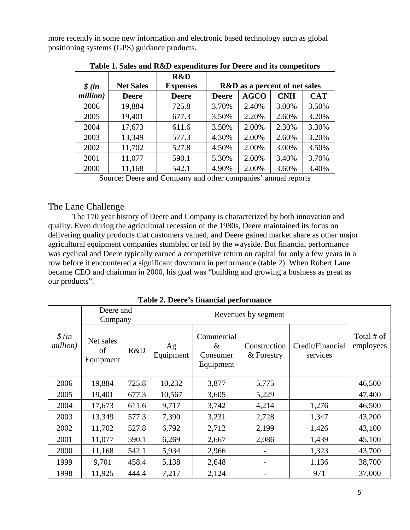more recently in some new information and electronic based technology such as global positioning systems (GPS) guidance products.

|          |                  |                        |              |                                          | д.         |            |
|----------|------------------|------------------------|--------------|------------------------------------------|------------|------------|
| \$ (in   | <b>Net Sales</b> | R&D<br><b>Expenses</b> |              | <b>R&amp;D</b> as a percent of net sales |            |            |
| million) | <b>Deere</b>     | <b>Deere</b>           | <b>Deere</b> | <b>AGCO</b>                              | <b>CNH</b> | <b>CAT</b> |
| 2006     | 19,884           | 725.8                  | 3.70%        | 2.40%                                    | 3.00%      | 3.50%      |
| 2005     | 19,401           | 677.3                  | 3.50%        | 2.20%                                    | 2.60%      | 3.20%      |
| 2004     | 17,673           | 611.6                  | 3.50%        | 2.00%                                    | 2.30%      | 3.30%      |
| 2003     | 13,349           | 577.3                  | 4.30%        | 2.00%                                    | 2.60%      | 3.20%      |
| 2002     | 11,702           | 527.8                  | 4.50%        | 2.00%                                    | 3.00%      | 3.50%      |
| 2001     | 11,077           | 590.1                  | 5.30%        | 2.00%                                    | 3.40%      | 3.70%      |
| 2000     | 11,168           | 542.1                  | 4.90%        | 2.00%                                    | 3.60%      | 3.40%      |

**Table 1. Sales and R&D expenditures for Deere and its competitors** 

Source: Deere and Company and other companies' annual reports

## The Lane Challenge

 The 170 year history of Deere and Company is characterized by both innovation and quality. Even during the agricultural recession of the 1980s, Deere maintained its focus on delivering quality products that customers valued, and Deere gained market share as other major agricultural equipment companies stumbled or fell by the wayside. But financial performance was cyclical and Deere typically earned a competitive return on capital for only a few years in a row before it encountered a significant downturn in performance (table 2). When Robert Lane became CEO and chairman in 2000, his goal was "building and growing a business as great as our products".

|                                                   | Deere and<br>Company         |       |                 |                                             |                              |                              |                         |
|---------------------------------------------------|------------------------------|-------|-----------------|---------------------------------------------|------------------------------|------------------------------|-------------------------|
| $\frac{\mathcal{S}}{\mathcal{S}}$ (in<br>million) | Net sales<br>of<br>Equipment | R&D   | Ag<br>Equipment | Commercial<br>$\&$<br>Consumer<br>Equipment | Construction<br>$&$ Forestry | Credit/Financial<br>services | Total # of<br>employees |
| 2006                                              | 19,884                       | 725.8 | 10,232          | 3,877                                       | 5,775                        |                              | 46,500                  |
| 2005                                              | 19,401                       | 677.3 | 10,567          | 3,605                                       | 5,229                        |                              | 47,400                  |
| 2004                                              | 17,673                       | 611.6 | 9,717           | 3,742                                       | 4,214                        | 1,276                        | 46,500                  |
| 2003                                              | 13,349                       | 577.3 | 7,390           | 3,231                                       | 2,728                        | 1,347                        | 43,200                  |
| 2002                                              | 11,702                       | 527.8 | 6,792           | 2,712                                       | 2,199                        | 1,426                        | 43,100                  |
| 2001                                              | 11,077                       | 590.1 | 6,269           | 2,667                                       | 2,086                        | 1,439                        | 45,100                  |
| 2000                                              | 11,168                       | 542.1 | 5,934           | 2,966                                       |                              | 1,323                        | 43,700                  |
| 1999                                              | 9,701                        | 458.4 | 5,138           | 2,648                                       |                              | 1,136                        | 38,700                  |
| 1998                                              | 11,925                       | 444.4 | 7,217           | 2,124                                       |                              | 971                          | 37,000                  |

**Table 2. Deere's financial performance**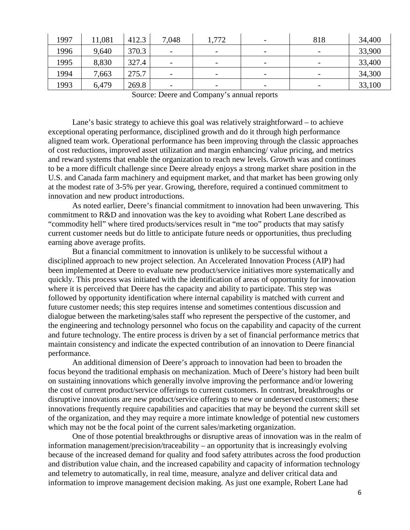| 1997 | 11,081 | 412.3 | 7,048                    | 1,772                    | $\overline{\phantom{a}}$ | 818                      | 34,400 |
|------|--------|-------|--------------------------|--------------------------|--------------------------|--------------------------|--------|
| 1996 | 9,640  | 370.3 | $\overline{\phantom{0}}$ | $\overline{\phantom{0}}$ | $\overline{\phantom{0}}$ | $\overline{\phantom{0}}$ | 33,900 |
| 1995 | 8,830  | 327.4 | $\overline{\phantom{a}}$ | $\overline{\phantom{m}}$ | $\overline{\phantom{a}}$ | $\overline{\phantom{0}}$ | 33,400 |
| 1994 | 7,663  | 275.7 | -                        | $\overline{\phantom{0}}$ | $\overline{\phantom{0}}$ | $\overline{\phantom{0}}$ | 34,300 |
| 1993 | 6,479  | 269.8 |                          | $\overline{\phantom{0}}$ | $\overline{\phantom{a}}$ | $\overline{\phantom{0}}$ | 33,100 |

Source: Deere and Company's annual reports

 Lane's basic strategy to achieve this goal was relatively straightforward – to achieve exceptional operating performance, disciplined growth and do it through high performance aligned team work. Operational performance has been improving through the classic approaches of cost reductions, improved asset utilization and margin enhancing/ value pricing, and metrics and reward systems that enable the organization to reach new levels. Growth was and continues to be a more difficult challenge since Deere already enjoys a strong market share position in the U.S. and Canada farm machinery and equipment market, and that market has been growing only at the modest rate of 3-5% per year. Growing, therefore, required a continued commitment to innovation and new product introductions.

 As noted earlier, Deere's financial commitment to innovation had been unwavering. This commitment to R&D and innovation was the key to avoiding what Robert Lane described as "commodity hell" where tired products/services result in "me too" products that may satisfy current customer needs but do little to anticipate future needs or opportunities, thus precluding earning above average profits.

 But a financial commitment to innovation is unlikely to be successful without a disciplined approach to new project selection. An Accelerated Innovation Process (AIP) had been implemented at Deere to evaluate new product/service initiatives more systematically and quickly. This process was initiated with the identification of areas of opportunity for innovation where it is perceived that Deere has the capacity and ability to participate. This step was followed by opportunity identification where internal capability is matched with current and future customer needs; this step requires intense and sometimes contentious discussion and dialogue between the marketing/sales staff who represent the perspective of the customer, and the engineering and technology personnel who focus on the capability and capacity of the current and future technology. The entire process is driven by a set of financial performance metrics that maintain consistency and indicate the expected contribution of an innovation to Deere financial performance.

 An additional dimension of Deere's approach to innovation had been to broaden the focus beyond the traditional emphasis on mechanization. Much of Deere's history had been built on sustaining innovations which generally involve improving the performance and/or lowering the cost of current product/service offerings to current customers. In contrast, breakthroughs or disruptive innovations are new product/service offerings to new or underserved customers; these innovations frequently require capabilities and capacities that may be beyond the current skill set of the organization, and they may require a more intimate knowledge of potential new customers which may not be the focal point of the current sales/marketing organization.

 One of those potential breakthroughs or disruptive areas of innovation was in the realm of information management/precision/traceability – an opportunity that is increasingly evolving because of the increased demand for quality and food safety attributes across the food production and distribution value chain, and the increased capability and capacity of information technology and telemetry to automatically, in real time, measure, analyze and deliver critical data and information to improve management decision making. As just one example, Robert Lane had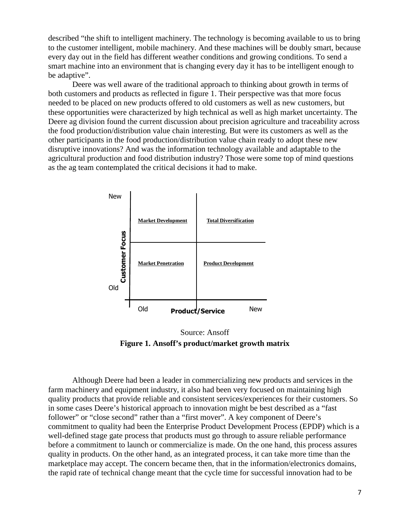described "the shift to intelligent machinery. The technology is becoming available to us to bring to the customer intelligent, mobile machinery. And these machines will be doubly smart, because every day out in the field has different weather conditions and growing conditions. To send a smart machine into an environment that is changing every day it has to be intelligent enough to be adaptive".

Deere was well aware of the traditional approach to thinking about growth in terms of both customers and products as reflected in figure 1. Their perspective was that more focus needed to be placed on new products offered to old customers as well as new customers, but these opportunities were characterized by high technical as well as high market uncertainty. The Deere ag division found the current discussion about precision agriculture and traceability across the food production/distribution value chain interesting. But were its customers as well as the other participants in the food production/distribution value chain ready to adopt these new disruptive innovations? And was the information technology available and adaptable to the agricultural production and food distribution industry? Those were some top of mind questions as the ag team contemplated the critical decisions it had to make.



Source: Ansoff **Figure 1. Ansoff's product/market growth matrix**

Although Deere had been a leader in commercializing new products and services in the farm machinery and equipment industry, it also had been very focused on maintaining high quality products that provide reliable and consistent services/experiences for their customers. So in some cases Deere's historical approach to innovation might be best described as a "fast follower" or "close second" rather than a "first mover". A key component of Deere's commitment to quality had been the Enterprise Product Development Process (EPDP) which is a well-defined stage gate process that products must go through to assure reliable performance before a commitment to launch or commercialize is made. On the one hand, this process assures quality in products. On the other hand, as an integrated process, it can take more time than the marketplace may accept. The concern became then, that in the information/electronics domains, the rapid rate of technical change meant that the cycle time for successful innovation had to be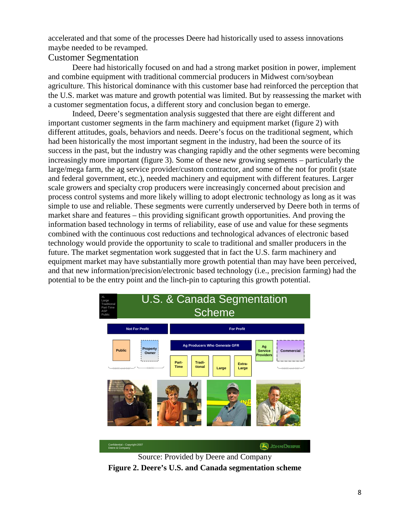accelerated and that some of the processes Deere had historically used to assess innovations maybe needed to be revamped.

## Customer Segmentation

 Deere had historically focused on and had a strong market position in power, implement and combine equipment with traditional commercial producers in Midwest corn/soybean agriculture. This historical dominance with this customer base had reinforced the perception that the U.S. market was mature and growth potential was limited. But by reassessing the market with a customer segmentation focus, a different story and conclusion began to emerge.

 Indeed, Deere's segmentation analysis suggested that there are eight different and important customer segments in the farm machinery and equipment market (figure 2) with different attitudes, goals, behaviors and needs. Deere's focus on the traditional segment, which had been historically the most important segment in the industry, had been the source of its success in the past, but the industry was changing rapidly and the other segments were becoming increasingly more important (figure 3). Some of these new growing segments – particularly the large/mega farm, the ag service provider/custom contractor, and some of the not for profit (state and federal government, etc.), needed machinery and equipment with different features. Larger scale growers and specialty crop producers were increasingly concerned about precision and process control systems and more likely willing to adopt electronic technology as long as it was simple to use and reliable. These segments were currently underserved by Deere both in terms of market share and features – this providing significant growth opportunities. And proving the information based technology in terms of reliability, ease of use and value for these segments combined with the continuous cost reductions and technological advances of electronic based technology would provide the opportunity to scale to traditional and smaller producers in the future. The market segmentation work suggested that in fact the U.S. farm machinery and equipment market may have substantially more growth potential than may have been perceived, and that new information/precision/electronic based technology (i.e., precision farming) had the potential to be the entry point and the linch-pin to capturing this growth potential.



Source: Provided by Deere and Company

**Figure 2. Deere's U.S. and Canada segmentation scheme**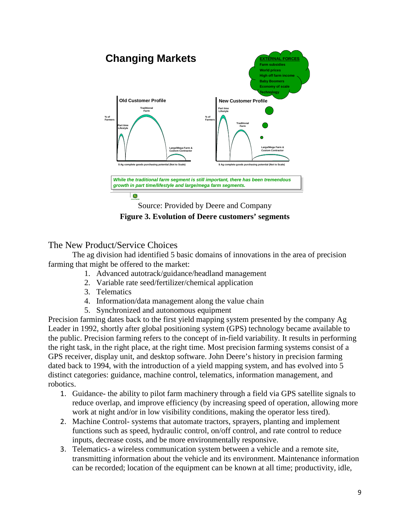

Source: Provided by Deere and Company **Figure 3. Evolution of Deere customers' segments** 

The New Product/Service Choices

 The ag division had identified 5 basic domains of innovations in the area of precision farming that might be offered to the market:

- 1. Advanced autotrack/guidance/headland management
- 2. Variable rate seed/fertilizer/chemical application
- 3. Telematics
- 4. Information/data management along the value chain
- 5. Synchronized and autonomous equipment

Precision farming dates back to the first yield mapping system presented by the company Ag Leader in 1992, shortly after global positioning system (GPS) technology became available to the public. Precision farming refers to the concept of in-field variability. It results in performing the right task, in the right place, at the right time. Most precision farming systems consist of a GPS receiver, display unit, and desktop software. John Deere's history in precision farming dated back to 1994, with the introduction of a yield mapping system, and has evolved into 5 distinct categories: guidance, machine control, telematics, information management, and robotics.

- 1. Guidance- the ability to pilot farm machinery through a field via GPS satellite signals to reduce overlap, and improve efficiency (by increasing speed of operation, allowing more work at night and/or in low visibility conditions, making the operator less tired).
- 2. Machine Control- systems that automate tractors, sprayers, planting and implement functions such as speed, hydraulic control, on/off control, and rate control to reduce inputs, decrease costs, and be more environmentally responsive.
- 3. Telematics- a wireless communication system between a vehicle and a remote site, transmitting information about the vehicle and its environment. Maintenance information can be recorded; location of the equipment can be known at all time; productivity, idle,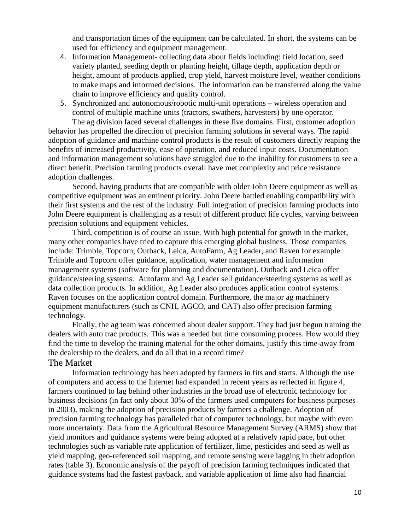and transportation times of the equipment can be calculated. In short, the systems can be used for efficiency and equipment management.

- 4. Information Management- collecting data about fields including: field location, seed variety planted, seeding depth or planting height, tillage depth, application depth or height, amount of products applied, crop yield, harvest moisture level, weather conditions to make maps and informed decisions. The information can be transferred along the value chain to improve efficiency and quality control.
- 5. Synchronized and autonomous/robotic multi-unit operations wireless operation and control of multiple machine units (tractors, swathers, harvesters) by one operator. The ag division faced several challenges in these five domains. First, customer adoption

behavior has propelled the direction of precision farming solutions in several ways. The rapid adoption of guidance and machine control products is the result of customers directly reaping the benefits of increased productivity, ease of operation, and reduced input costs. Documentation and information management solutions have struggled due to the inability for customers to see a direct benefit. Precision farming products overall have met complexity and price resistance adoption challenges.

 Second, having products that are compatible with older John Deere equipment as well as competitive equipment was an eminent priority. John Deere battled enabling compatibility with their first systems and the rest of the industry. Full integration of precision farming products into John Deere equipment is challenging as a result of different product life cycles, varying between precision solutions and equipment vehicles.

Third, competition is of course an issue. With high potential for growth in the market, many other companies have tried to capture this emerging global business. Those companies include: Trimble, Topcorn, Outback, Leica, AutoFarm, Ag Leader, and Raven for example. Trimble and Topcorn offer guidance, application, water management and information management systems (software for planning and documentation). Outback and Leica offer guidance/steering systems. Autofarm and Ag Leader sell guidance/steering systems as well as data collection products. In addition, Ag Leader also produces application control systems. Raven focuses on the application control domain. Furthermore, the major ag machinery equipment manufacturers (such as CNH, AGCO, and CAT) also offer precision farming technology.

Finally, the ag team was concerned about dealer support. They had just begun training the dealers with auto trac products. This was a needed but time consuming process. How would they find the time to develop the training material for the other domains, justify this time-away from the dealership to the dealers, and do all that in a record time?

## The Market

Information technology has been adopted by farmers in fits and starts. Although the use of computers and access to the Internet had expanded in recent years as reflected in figure 4, farmers continued to lag behind other industries in the broad use of electronic technology for business decisions (in fact only about 30% of the farmers used computers for business purposes in 2003), making the adoption of precision products by farmers a challenge. Adoption of precision farming technology has paralleled that of computer technology, but maybe with even more uncertainty. Data from the Agricultural Resource Management Survey (ARMS) show that yield monitors and guidance systems were being adopted at a relatively rapid pace, but other technologies such as variable rate application of fertilizer, lime, pesticides and seed as well as yield mapping, geo-referenced soil mapping, and remote sensing were lagging in their adoption rates (table 3). Economic analysis of the payoff of precision farming techniques indicated that guidance systems had the fastest payback, and variable application of lime also had financial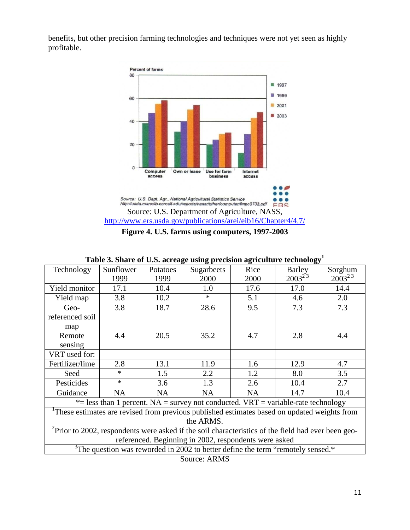benefits, but other precision farming technologies and techniques were not yet seen as highly profitable.



|  |  | Figure 4. U.S. farms using computers, 1997-2003 |  |
|--|--|-------------------------------------------------|--|
|  |  |                                                 |  |

| et share or cast across asing precision agricult                                                                |           |           |                                                                                       |           |               |             |  |
|-----------------------------------------------------------------------------------------------------------------|-----------|-----------|---------------------------------------------------------------------------------------|-----------|---------------|-------------|--|
| Technology                                                                                                      | Sunflower | Potatoes  | Sugarbeets                                                                            | Rice      | <b>Barley</b> | Sorghum     |  |
|                                                                                                                 | 1999      | 1999      | 2000                                                                                  | 2000      | $2003^{23}$   | $2003^{23}$ |  |
| Yield monitor                                                                                                   | 17.1      | 10.4      | 1.0                                                                                   | 17.6      | 17.0          | 14.4        |  |
| Yield map                                                                                                       | 3.8       | 10.2      | $\ast$                                                                                | 5.1       | 4.6           | 2.0         |  |
| Geo-                                                                                                            | 3.8       | 18.7      | 28.6                                                                                  | 9.5       | 7.3           | 7.3         |  |
| referenced soil                                                                                                 |           |           |                                                                                       |           |               |             |  |
| map                                                                                                             |           |           |                                                                                       |           |               |             |  |
| Remote                                                                                                          | 4.4       | 20.5      | 35.2                                                                                  | 4.7       | 2.8           | 4.4         |  |
| sensing                                                                                                         |           |           |                                                                                       |           |               |             |  |
| VRT used for:                                                                                                   |           |           |                                                                                       |           |               |             |  |
| Fertilizer/lime                                                                                                 | 2.8       | 13.1      | 11.9                                                                                  | 1.6       | 12.9          | 4.7         |  |
| Seed                                                                                                            | $\ast$    | 1.5       | 2.2                                                                                   | 1.2       | 8.0           | 3.5         |  |
| Pesticides                                                                                                      | $\ast$    | 3.6       | 1.3                                                                                   | 2.6       | 10.4          | 2.7         |  |
| Guidance                                                                                                        | <b>NA</b> | <b>NA</b> | <b>NA</b>                                                                             | <b>NA</b> | 14.7          | 10.4        |  |
|                                                                                                                 |           |           | *= less than 1 percent. $NA$ = survey not conducted. $VRT$ = variable-rate technology |           |               |             |  |
| These estimates are revised from previous published estimates based on updated weights from                     |           |           |                                                                                       |           |               |             |  |
| the ARMS.                                                                                                       |           |           |                                                                                       |           |               |             |  |
| $\textdegree$ Prior to 2002, respondents were asked if the soil characteristics of the field had ever been geo- |           |           |                                                                                       |           |               |             |  |
| referenced. Beginning in 2002, respondents were asked                                                           |           |           |                                                                                       |           |               |             |  |
| $3$ The question was reworded in 2002 to better define the term "remotely sensed.*                              |           |           |                                                                                       |           |               |             |  |
| Source: ARMS                                                                                                    |           |           |                                                                                       |           |               |             |  |

**Table 3. Share of U.S. acreage using precision agriculture technology<sup>1</sup>**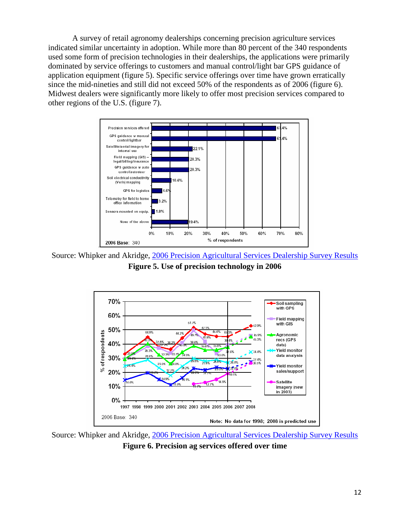A survey of retail agronomy dealerships concerning precision agriculture services indicated similar uncertainty in adoption. While more than 80 percent of the 340 respondents used some form of precision technologies in their dealerships, the applications were primarily dominated by service offerings to customers and manual control/light bar GPS guidance of application equipment (figure 5). Specific service offerings over time have grown erratically since the mid-nineties and still did not exceed 50% of the respondents as of 2006 (figure 6). Midwest dealers were significantly more likely to offer most precision services compared to other regions of the U.S. (figure 7).



Source: Whipker and Akridge, 2006 Precision Agricultural Services Dealership Survey Results **Figure 5. Use of precision technology in 2006**



Source: Whipker and Akridge, 2006 Precision Agricultural Services Dealership Survey Results **Figure 6. Precision ag services offered over time**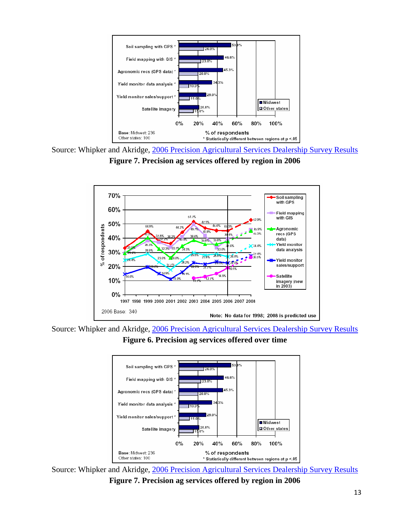

Source: Whipker and Akridge, 2006 Precision Agricultural Services Dealership Survey Results **Figure 7. Precision ag services offered by region in 2006** 



Source: Whipker and Akridge, 2006 Precision Agricultural Services Dealership Survey Results **Figure 6. Precision ag services offered over time** 



Source: Whipker and Akridge, 2006 Precision Agricultural Services Dealership Survey Results **Figure 7. Precision ag services offered by region in 2006**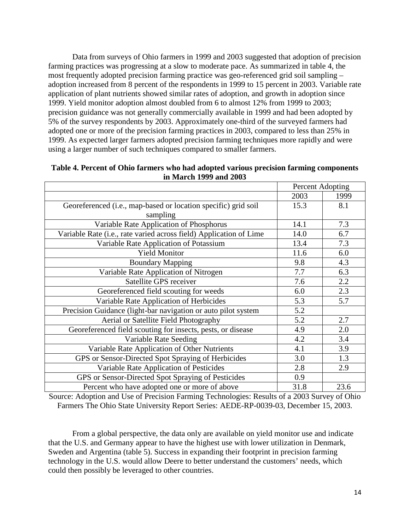Data from surveys of Ohio farmers in 1999 and 2003 suggested that adoption of precision farming practices was progressing at a slow to moderate pace. As summarized in table 4, the most frequently adopted precision farming practice was geo-referenced grid soil sampling – adoption increased from 8 percent of the respondents in 1999 to 15 percent in 2003. Variable rate application of plant nutrients showed similar rates of adoption, and growth in adoption since 1999. Yield monitor adoption almost doubled from 6 to almost 12% from 1999 to 2003; precision guidance was not generally commercially available in 1999 and had been adopted by 5% of the survey respondents by 2003. Approximately one-third of the surveyed farmers had adopted one or more of the precision farming practices in 2003, compared to less than 25% in 1999. As expected larger farmers adopted precision farming techniques more rapidly and were using a larger number of such techniques compared to smaller farmers.

|                                                                    | Percent Adopting |      |
|--------------------------------------------------------------------|------------------|------|
|                                                                    | 2003             | 1999 |
| Georeferenced (i.e., map-based or location specific) grid soil     | 15.3             | 8.1  |
| sampling                                                           |                  |      |
| Variable Rate Application of Phosphorus                            | 14.1             | 7.3  |
| Variable Rate (i.e., rate varied across field) Application of Lime | 14.0             | 6.7  |
| Variable Rate Application of Potassium                             | 13.4             | 7.3  |
| <b>Yield Monitor</b>                                               | 11.6             | 6.0  |
| <b>Boundary Mapping</b>                                            | 9.8              | 4.3  |
| Variable Rate Application of Nitrogen                              | 7.7              | 6.3  |
| Satellite GPS receiver                                             | 7.6              | 2.2  |
| Georeferenced field scouting for weeds                             | 6.0              | 2.3  |
| Variable Rate Application of Herbicides                            | 5.3              | 5.7  |
| Precision Guidance (light-bar navigation or auto pilot system      | 5.2              |      |
| Aerial or Satellite Field Photography                              | 5.2              | 2.7  |
| Georeferenced field scouting for insects, pests, or disease        | 4.9              | 2.0  |
| Variable Rate Seeding                                              | 4.2              | 3.4  |
| Variable Rate Application of Other Nutrients                       | 4.1              | 3.9  |
| GPS or Sensor-Directed Spot Spraying of Herbicides                 | 3.0              | 1.3  |
| Variable Rate Application of Pesticides                            | 2.8              | 2.9  |
| GPS or Sensor-Directed Spot Spraying of Pesticides                 | 0.9              |      |
| Percent who have adopted one or more of above                      | 31.8             | 23.6 |

**Table 4. Percent of Ohio farmers who had adopted various precision farming components in March 1999 and 2003**

Source: Adoption and Use of Precision Farming Technologies: Results of a 2003 Survey of Ohio Farmers The Ohio State University Report Series: AEDE-RP-0039-03, December 15, 2003.

From a global perspective, the data only are available on yield monitor use and indicate that the U.S. and Germany appear to have the highest use with lower utilization in Denmark, Sweden and Argentina (table 5). Success in expanding their footprint in precision farming technology in the U.S. would allow Deere to better understand the customers' needs, which could then possibly be leveraged to other countries.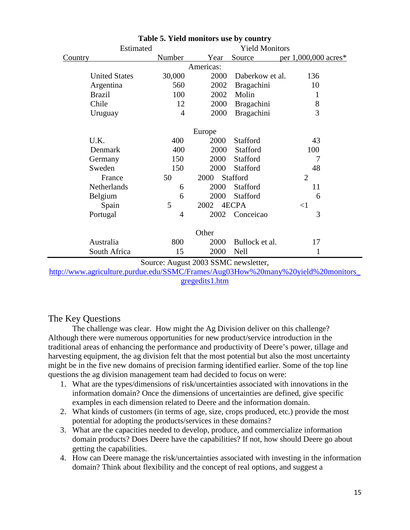|                                      | Estimated            |        |                | <b>Yield Monitors</b> |          |                   |                |                        |
|--------------------------------------|----------------------|--------|----------------|-----------------------|----------|-------------------|----------------|------------------------|
| <b>Country</b>                       |                      | Number |                | Year                  |          | <u>Source</u>     |                | per $1,000,000$ acres* |
| Americas:                            |                      |        |                |                       |          |                   |                |                        |
|                                      | <b>United States</b> |        | 30,000         | 2000                  |          | Daberkow et al.   |                | 136                    |
|                                      | Argentina            |        | 560            | 2002                  |          | <b>Bragachini</b> |                | 10                     |
|                                      | <b>Brazil</b>        |        | 100            | 2002                  |          | Molin             |                | 1                      |
|                                      | Chile                |        | 12             | 2000                  |          | <b>Bragachini</b> |                | 8                      |
|                                      | Uruguay              |        | $\overline{4}$ | 2000                  |          | <b>Bragachini</b> |                | 3                      |
|                                      |                      |        |                |                       |          |                   |                |                        |
|                                      |                      |        |                | Europe                |          |                   |                |                        |
|                                      | U.K.                 |        | 400            | 2000                  |          | Stafford          |                | 43                     |
|                                      | Denmark              |        | 400            | 2000                  |          | Stafford          |                | 100                    |
|                                      | Germany              |        | 150            | 2000                  |          | Stafford          |                | 7                      |
|                                      | Sweden               |        | 150            | 2000                  |          | Stafford          |                | 48                     |
|                                      | France               | 50     | 2000           |                       | Stafford |                   | $\overline{2}$ |                        |
|                                      | Netherlands          |        | 6              | 2000                  |          | Stafford          |                | 11                     |
|                                      | Belgium              |        | 6              | 2000                  |          | Stafford          |                | 6                      |
|                                      | Spain                | 5      |                | 2002                  |          | 4ECPA             |                | $<$ 1                  |
|                                      | Portugal             |        | 4              | 2002                  |          | Conceicao         |                | 3                      |
|                                      |                      |        |                |                       |          |                   |                |                        |
|                                      |                      |        |                | Other                 |          |                   |                |                        |
|                                      | Australia            |        | 800            | 2000                  |          | Bullock et al.    |                | 17                     |
|                                      | South Africa         |        | 15             | 2000                  |          | <b>Nell</b>       |                | 1                      |
| Source: August 2003 SSMC newsletter, |                      |        |                |                       |          |                   |                |                        |

**Table 5. Yield monitors use by country** 

http://www.agriculture.purdue.edu/SSMC/Frames/Aug03How%20many%20yield%20monitors\_ gregedits1.htm

## The Key Questions

 The challenge was clear. How might the Ag Division deliver on this challenge? Although there were numerous opportunities for new product/service introduction in the traditional areas of enhancing the performance and productivity of Deere's power, tillage and harvesting equipment, the ag division felt that the most potential but also the most uncertainty might be in the five new domains of precision farming identified earlier. Some of the top line questions the ag division management team had decided to focus on were:

- 1. What are the types/dimensions of risk/uncertainties associated with innovations in the information domain? Once the dimensions of uncertainties are defined, give specific examples in each dimension related to Deere and the information domain.
- 2. What kinds of customers (in terms of age, size, crops produced, etc.) provide the most potential for adopting the products/services in these domains?
- 3. What are the capacities needed to develop, produce, and commercialize information domain products? Does Deere have the capabilities? If not, how should Deere go about getting the capabilities.
- 4. How can Deere manage the risk/uncertainties associated with investing in the information domain? Think about flexibility and the concept of real options, and suggest a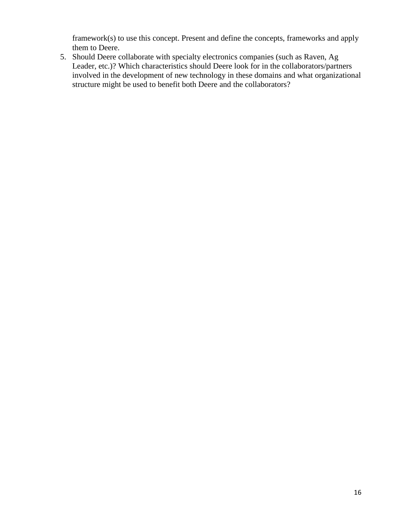framework(s) to use this concept. Present and define the concepts, frameworks and apply them to Deere.

5. Should Deere collaborate with specialty electronics companies (such as Raven, Ag Leader, etc.)? Which characteristics should Deere look for in the collaborators/partners involved in the development of new technology in these domains and what organizational structure might be used to benefit both Deere and the collaborators?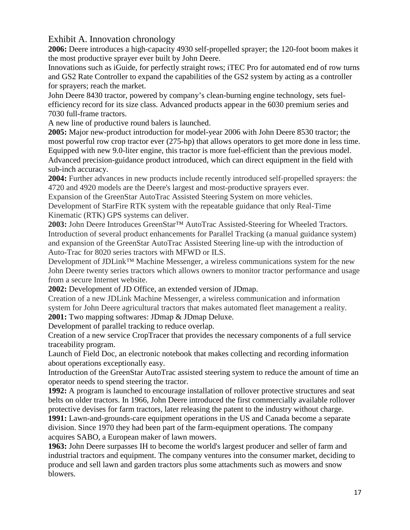# Exhibit A. Innovation chronology

**2006:** Deere introduces a high-capacity 4930 self-propelled sprayer; the 120-foot boom makes it the most productive sprayer ever built by John Deere.

Innovations such as iGuide, for perfectly straight rows; iTEC Pro for automated end of row turns and GS2 Rate Controller to expand the capabilities of the GS2 system by acting as a controller for sprayers; reach the market.

John Deere 8430 tractor, powered by company's clean-burning engine technology, sets fuelefficiency record for its size class. Advanced products appear in the 6030 premium series and 7030 full-frame tractors.

A new line of productive round balers is launched.

**2005:** Major new-product introduction for model-year 2006 with John Deere 8530 tractor; the most powerful row crop tractor ever (275-hp) that allows operators to get more done in less time. Equipped with new 9.0-liter engine, this tractor is more fuel-efficient than the previous model. Advanced precision-guidance product introduced, which can direct equipment in the field with sub-inch accuracy.

**2004:** Further advances in new products include recently introduced self-propelled sprayers: the 4720 and 4920 models are the Deere's largest and most-productive sprayers ever.

Expansion of the GreenStar AutoTrac Assisted Steering System on more vehicles.

Development of StarFire RTK system with the repeatable guidance that only Real-Time Kinematic (RTK) GPS systems can deliver.

2003: John Deere Introduces GreenStar™ AutoTrac Assisted-Steering for Wheeled Tractors. Introduction of several product enhancements for Parallel Tracking (a manual guidance system) and expansion of the GreenStar AutoTrac Assisted Steering line-up with the introduction of Auto-Trac for 8020 series tractors with MFWD or ILS.

Development of JDLink™ Machine Messenger, a wireless communications system for the new John Deere twenty series tractors which allows owners to monitor tractor performance and usage from a secure Internet website.

**2002:** Development of JD Office, an extended version of JDmap.

Creation of a new JDLink Machine Messenger, a wireless communication and information system for John Deere agricultural tractors that makes automated fleet management a reality. **2001:** Two mapping softwares: JDmap & JDmap Deluxe.

Development of parallel tracking to reduce overlap.

Creation of a new service CropTracer that provides the necessary components of a full service traceability program.

Launch of Field Doc, an electronic notebook that makes collecting and recording information about operations exceptionally easy.

Introduction of the GreenStar AutoTrac assisted steering system to reduce the amount of time an operator needs to spend steering the tractor.

**1992:** A program is launched to encourage installation of rollover protective structures and seat belts on older tractors. In 1966, John Deere introduced the first commercially available rollover protective devises for farm tractors, later releasing the patent to the industry without charge. **1991:** Lawn-and-grounds-care equipment operations in the US and Canada become a separate division. Since 1970 they had been part of the farm-equipment operations. The company

acquires SABO, a European maker of lawn mowers.

**1963:** John Deere surpasses IH to become the world's largest producer and seller of farm and industrial tractors and equipment. The company ventures into the consumer market, deciding to produce and sell lawn and garden tractors plus some attachments such as mowers and snow blowers.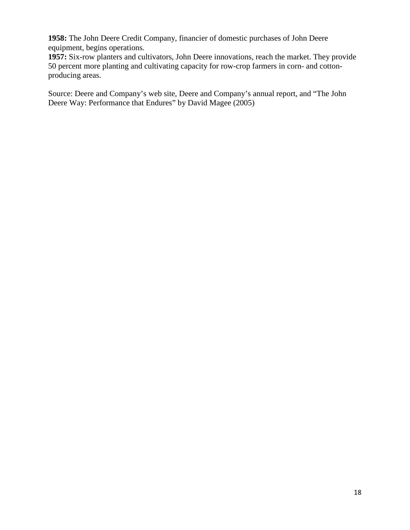**1958:** The John Deere Credit Company, financier of domestic purchases of John Deere equipment, begins operations.

**1957:** Six-row planters and cultivators, John Deere innovations, reach the market. They provide 50 percent more planting and cultivating capacity for row-crop farmers in corn- and cottonproducing areas.

Source: Deere and Company's web site, Deere and Company's annual report, and "The John Deere Way: Performance that Endures" by David Magee (2005)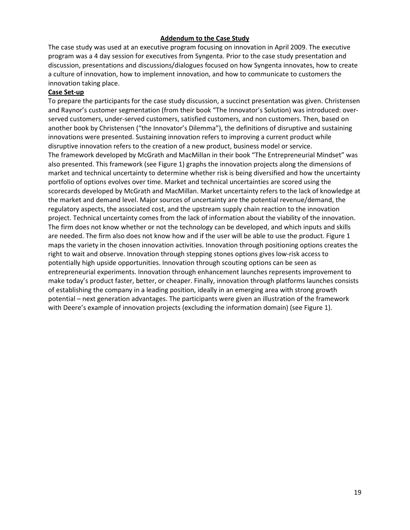### Addendum to the Case Study

The case study was used at an executive program focusing on innovation in April 2009. The executive program was a 4 day session for executives from Syngenta. Prior to the case study presentation and discussion, presentations and discussions/dialogues focused on how Syngenta innovates, how to create a culture of innovation, how to implement innovation, and how to communicate to customers the innovation taking place.

### Case Set-up

To prepare the participants for the case study discussion, a succinct presentation was given. Christensen and Raynor's customer segmentation (from their book "The Innovator's Solution) was introduced: overserved customers, under-served customers, satisfied customers, and non customers. Then, based on another book by Christensen ("the Innovator's Dilemma"), the definitions of disruptive and sustaining innovations were presented. Sustaining innovation refers to improving a current product while disruptive innovation refers to the creation of a new product, business model or service. The framework developed by McGrath and MacMillan in their book "The Entrepreneurial Mindset" was also presented. This framework (see Figure 1) graphs the innovation projects along the dimensions of market and technical uncertainty to determine whether risk is being diversified and how the uncertainty portfolio of options evolves over time. Market and technical uncertainties are scored using the scorecards developed by McGrath and MacMillan. Market uncertainty refers to the lack of knowledge at the market and demand level. Major sources of uncertainty are the potential revenue/demand, the regulatory aspects, the associated cost, and the upstream supply chain reaction to the innovation project. Technical uncertainty comes from the lack of information about the viability of the innovation. The firm does not know whether or not the technology can be developed, and which inputs and skills are needed. The firm also does not know how and if the user will be able to use the product. Figure 1 maps the variety in the chosen innovation activities. Innovation through positioning options creates the right to wait and observe. Innovation through stepping stones options gives low-risk access to potentially high upside opportunities. Innovation through scouting options can be seen as entrepreneurial experiments. Innovation through enhancement launches represents improvement to make today's product faster, better, or cheaper. Finally, innovation through platforms launches consists of establishing the company in a leading position, ideally in an emerging area with strong growth potential – next generation advantages. The participants were given an illustration of the framework with Deere's example of innovation projects (excluding the information domain) (see Figure 1).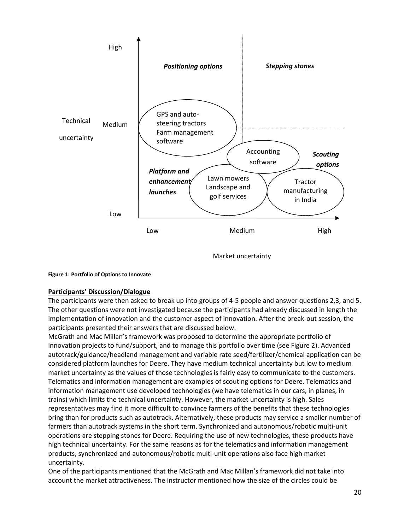

Market uncertainty

#### Figure 1: Portfolio of Options to Innovate

### Participants' Discussion/Dialogue

The participants were then asked to break up into groups of 4-5 people and answer questions 2,3, and 5. The other questions were not investigated because the participants had already discussed in length the implementation of innovation and the customer aspect of innovation. After the break-out session, the participants presented their answers that are discussed below.

McGrath and Mac Millan's framework was proposed to determine the appropriate portfolio of innovation projects to fund/support, and to manage this portfolio over time (see Figure 2). Advanced autotrack/guidance/headland management and variable rate seed/fertilizer/chemical application can be considered platform launches for Deere. They have medium technical uncertainty but low to medium market uncertainty as the values of those technologies is fairly easy to communicate to the customers. Telematics and information management are examples of scouting options for Deere. Telematics and information management use developed technologies (we have telematics in our cars, in planes, in trains) which limits the technical uncertainty. However, the market uncertainty is high. Sales representatives may find it more difficult to convince farmers of the benefits that these technologies bring than for products such as autotrack. Alternatively, these products may service a smaller number of farmers than autotrack systems in the short term. Synchronized and autonomous/robotic multi-unit operations are stepping stones for Deere. Requiring the use of new technologies, these products have high technical uncertainty. For the same reasons as for the telematics and information management products, synchronized and autonomous/robotic multi-unit operations also face high market uncertainty.

One of the participants mentioned that the McGrath and Mac Millan's framework did not take into account the market attractiveness. The instructor mentioned how the size of the circles could be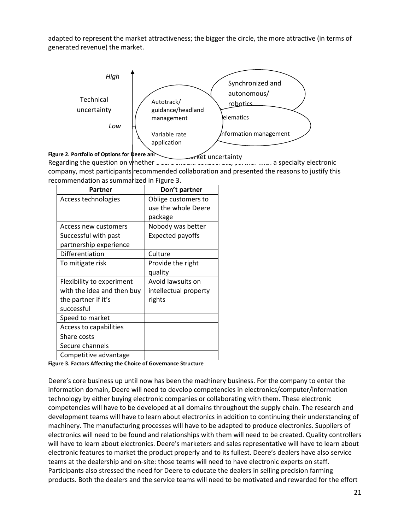adapted to represent the market attractiveness; the bigger the circle, the more attractive (in terms of generated revenue) the market.



Regarding the question on whether  $\frac{1}{2}$ company, most participants recommended collaboration and presented the reasons to justify this recommendation as summarized in Figure 3. market uncertainty

| Partner                    | Don't partner           |
|----------------------------|-------------------------|
| Access technologies        | Oblige customers to     |
|                            | use the whole Deere     |
|                            | package                 |
| Access new customers       | Nobody was better       |
| Successful with past       | <b>Expected payoffs</b> |
| partnership experience     |                         |
| Differentiation            | Culture                 |
| To mitigate risk           | Provide the right       |
|                            | quality                 |
| Flexibility to experiment  | Avoid lawsuits on       |
| with the idea and then buy | intellectual property   |
| the partner if it's        | rights                  |
| successful                 |                         |
| Speed to market            |                         |
| Access to capabilities     |                         |
| Share costs                |                         |
| Secure channels            |                         |
| Competitive advantage      |                         |

Figure 3. Factors Affecting the Choice of Governance Structure

Deere's core business up until now has been the machinery business. For the company to enter the information domain, Deere will need to develop competencies in electronics/computer/information technology by either buying electronic companies or collaborating with them. These electronic competencies will have to be developed at all domains throughout the supply chain. The research and development teams will have to learn about electronics in addition to continuing their understanding of machinery. The manufacturing processes will have to be adapted to produce electronics. Suppliers of electronics will need to be found and relationships with them will need to be created. Quality controllers will have to learn about electronics. Deere's marketers and sales representative will have to learn about electronic features to market the product properly and to its fullest. Deere's dealers have also service teams at the dealership and on-site: those teams will need to have electronic experts on staff. Participants also stressed the need for Deere to educate the dealers in selling precision farming products. Both the dealers and the service teams will need to be motivated and rewarded for the effort